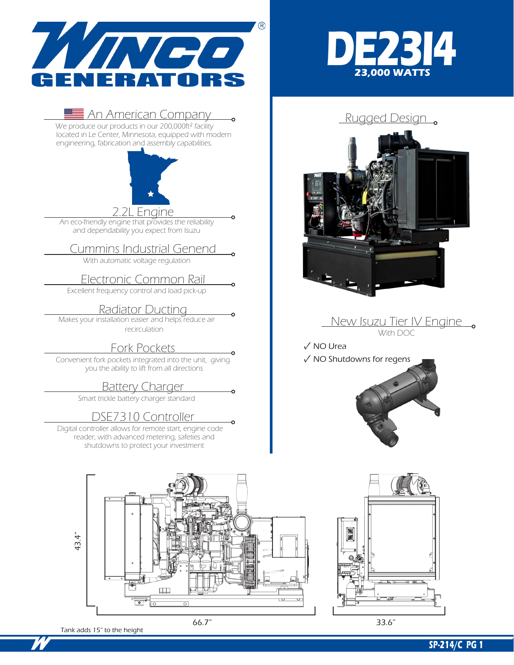

# <u>Net An American Company Company Rugged Design Company Rugged Design Company Company Company Company Rugged Design</u>

located in Le Center, Minnesota, equipped with modern engineering, fabrication and assembly capabilities.



An eco-friendly engine that provides the reliability and dependability you expect from Isuzu

### Cummins Industrial Genend

With automatic voltage regulation

## Electronic Common Rail

Excellent frequency control and load pick-up

### **Radiator Ducting**

Makes your installation easier and helps reduce air recirculation

Fork Pockets<br>
Convenient fork pockets integrated into the unit, giving you the ability to lift from all directions

### **Battery Charger**

Smart trickle battery charger standard

DSE7310 Controller<br>Digital controller allows for remote start, engine code reader, with advanced metering, safeties and shutdowns to protect your investment





### New Isuzu Tier IV Engine With DOC

✓ NO Urea

### ✓ NO Shutdowns for regens





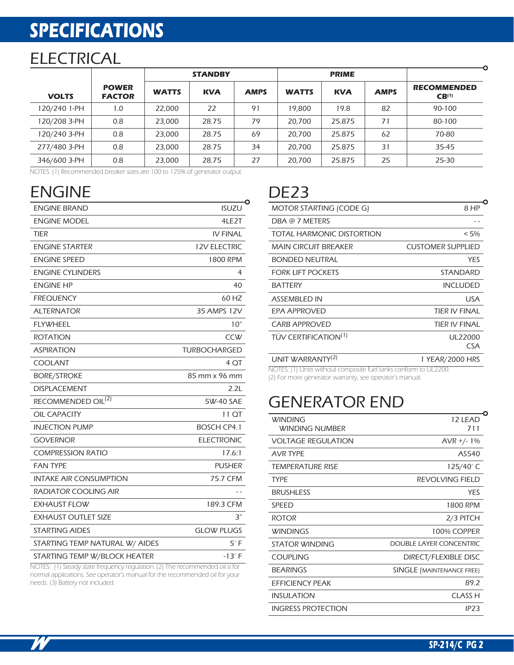# **SPECIFICATIONS**

## **ELECTRICAL**

|              |                               | <b>STANDBY</b> |            |             | <b>PRIME</b> |            |             |                                         |  |
|--------------|-------------------------------|----------------|------------|-------------|--------------|------------|-------------|-----------------------------------------|--|
| <b>VOLTS</b> | <b>POWER</b><br><b>FACTOR</b> | <b>WATTS</b>   | <b>KVA</b> | <b>AMPS</b> | <b>WATTS</b> | <b>KVA</b> | <b>AMPS</b> | <b>RECOMMENDED</b><br>CB <sup>(1)</sup> |  |
| 120/240 1-PH | 1.0                           | 22.000         | 22         | 91          | 19,800       | 19.8       | 82          | 90-100                                  |  |
| 120/208 3-PH | 0.8                           | 23,000         | 28.75      | 79          | 20,700       | 25.875     | 71          | 80-100                                  |  |
| 120/240 3-PH | 0.8                           | 23.000         | 28.75      | 69          | 20,700       | 25.875     | 62          | 70-80                                   |  |
| 277/480 3-PH | 0.8                           | 23.000         | 28.75      | 34          | 20,700       | 25.875     | 31          | 35-45                                   |  |
| 346/600 3-PH | 0.8                           | 23,000         | 28.75      | 27          | 20,700       | 25.875     | 25          | 25-30                                   |  |

NOTES: (1) Recommended breaker sizes are 100 to 125% of generator output.

| <b>ENGINE</b>                                                               |                     | DE <sub>23</sub>                    |
|-----------------------------------------------------------------------------|---------------------|-------------------------------------|
| <b>ENGINE BRAND</b>                                                         | <b>ISUZU</b>        | <b>MOTOR STA</b>                    |
| <b>ENGINE MODEL</b>                                                         | 4LE2T               | DBA @ 7 M                           |
| TIER                                                                        | <b>IV FINAL</b>     | <b>TOTAL HAR</b>                    |
| <b>ENGINE STARTER</b>                                                       | <b>12V ELECTRIC</b> | MAIN CIRCI                          |
| <b>ENGINE SPEED</b>                                                         | 1800 RPM            | <b>BONDED N</b>                     |
| <b>ENGINE CYLINDERS</b>                                                     | 4                   | <b>FORK LIFT F</b>                  |
| <b>ENGINE HP</b>                                                            | 40                  | <b>BATTERY</b>                      |
| <b>FREQUENCY</b>                                                            | 60 HZ               | <b>ASSEMBLED</b>                    |
| <b>ALTERNATOR</b>                                                           | 35 AMPS 12V         | <b>EPA APPRO</b>                    |
| <b>FLYWHEEL</b>                                                             | 10"                 | <b>CARB APPR</b>                    |
| <b>ROTATION</b>                                                             | <b>CCW</b>          | <b>TÜV CERTIF</b>                   |
| <b>ASPIRATION</b>                                                           | <b>TURBOCHARGED</b> |                                     |
| <b>COOLANT</b>                                                              | 4 QT                | <b>UNIT WARF</b><br>NOTES: (1) Unit |
| <b>BORE/STROKE</b>                                                          | 85 mm x 96 mm       | (2) For more ge                     |
| <b>DISPLACEMENT</b>                                                         | 2.2L                |                                     |
| RECOMMENDED OIL <sup>(2)</sup>                                              | 5W-40 SAE           | GENE                                |
| <b>OIL CAPACITY</b>                                                         | 11 QT               | <b>WINDING</b>                      |
| <b>INJECTION PUMP</b>                                                       | <b>BOSCH CP4.1</b>  | <b>WINDING</b>                      |
| <b>GOVERNOR</b>                                                             | <b>ELECTRONIC</b>   | <b>VOLTAGE R</b>                    |
| <b>COMPRESSION RATIO</b>                                                    | 17.6:1              | <b>AVR TYPE</b>                     |
| <b>FAN TYPE</b>                                                             | <b>PUSHER</b>       | <b>TEMPERATU</b>                    |
| <b>INTAKE AIR CONSUMPTION</b>                                               | 75.7 CFM            | <b>TYPE</b>                         |
| RADIATOR COOLING AIR                                                        | $=$ $-$             | <b>BRUSHLESS</b>                    |
| <b>EXHAUST FLOW</b>                                                         | 189.3 CFM           | <b>SPEED</b>                        |
| <b>EXHAUST OUTLET SIZE</b>                                                  | 3″                  | <b>ROTOR</b>                        |
| <b>STARTING AIDES</b>                                                       | <b>GLOW PLUGS</b>   | <b>WINDINGS</b>                     |
| STARTING TEMP NATURAL W/ AIDES                                              | $5^\circ$ F         | <b>STATOR WI</b>                    |
| STARTING TEMP W/BLOCK HEATER                                                | $-13^\circ F$       | <b>COUPLING</b>                     |
| NOTES: 11) Stoady state froguency rogulation (2) The recommended oil is for |                     |                                     |

NOTES: (1) Steady state frequency regulation. (2) The recommended oil is for normal applications. See operator's manual for the recommended oil for your needs. (3) Battery not included.

| MOTOR STARTING (CODE G)          | 8 HP                     |
|----------------------------------|--------------------------|
| DBA @ 7 METERS                   |                          |
| TOTAL HARMONIC DISTORTION        | $< 5\%$                  |
| <b>MAIN CIRCUIT BREAKER</b>      | <b>CUSTOMER SUPPLIED</b> |
| <b>BONDED NEUTRAL</b>            | YES                      |
| <b>FORK LIFT POCKETS</b>         | STANDARD                 |
| <b>BATTERY</b>                   | <b>INCLUDED</b>          |
| <b>ASSEMBLED IN</b>              | USA                      |
| EPA APPROVED                     | TIER IV FINAL            |
| <b>CARB APPROVED</b>             | TIFR IV FINAL            |
| TUV CERTIFICATION <sup>(1)</sup> | UL22000                  |
|                                  | <b>CSA</b>               |
| UNIT WARRANTY <sup>(2)</sup>     | 1 YEAR/2000 HRS          |
|                                  |                          |

NOTES: (1) Units without composite fuel tanks conform to UL2200.

(2) For more generator warranty, see operator's manual.

## GENERATOR END

| <b>WINDING</b><br>WINDING NUMBER | 12 LEAD<br>711                   |
|----------------------------------|----------------------------------|
|                                  |                                  |
| <b>VOLTAGE REGULATION</b>        | $AVR +/- 1%$                     |
| <b>AVR TYPE</b>                  | AS540                            |
| TEMPERATURE RISE                 | 125/40°C                         |
| <b>TYPF</b>                      | REVOLVING FIELD                  |
| <b>BRUSHLESS</b>                 | <b>YES</b>                       |
| SPEED                            | 1800 RPM                         |
| <b>ROTOR</b>                     | 2/3 PITCH                        |
| <b>WINDINGS</b>                  | 100% COPPER                      |
| STATOR WINDING                   | DOUBLE LAYER CONCENTRIC          |
| COUPLING                         | DIRECT/FLEXIBLE DISC             |
| <b>BEARINGS</b>                  | <b>SINGLE (MAINTENANCE FREE)</b> |
| EFFICIENCY PEAK                  | 89.2                             |
| <b>INSULATION</b>                | <b>CLASS H</b>                   |
| <b>INGRESS PROTECTION</b>        | IP23                             |